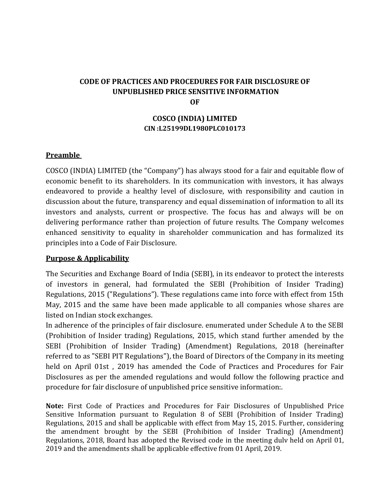# **CODE OF PRACTICES AND PROCEDURES FOR FAIR DISCLOSURE OF UNPUBLISHED PRICE SENSITIVE INFORMATION OF**

## **COSCO (INDIA) LIMITED CIN :L25199DL1980PLC010173**

## **Preamble**

COSCO (INDIA) LIMITED (the "Company") has always stood for a fair and equitable flow of economic benefit to its shareholders. In its communication with investors, it has always endeavored to provide a healthy level of disclosure, with responsibility and caution in discussion about the future, transparency and equal dissemination of information to all its investors and analysts, current or prospective. The focus has and always will be on delivering performance rather than projection of future results. The Company welcomes enhanced sensitivity to equality in shareholder communication and has formalized its principles into a Code of Fair Disclosure.

## **Purpose & Applicability**

The Securities and Exchange Board of India (SEBI), in its endeavor to protect the interests of investors in general, had formulated the SEBl (Prohibition of Insider Trading) Regulations, 2015 ("Regulations"). These regulations came into force with effect from 15th May, 2015 and the same have been made applicable to all companies whose shares are listed on Indian stock exchanges.

In adherence of the principles of fair disclosure. enumerated under Schedule A to the SEBI (Prohibition of Insider trading) Regulations, 2015, which stand further amended by the SEBI (Prohibition of Insider Trading) (Amendment) Regulations, 2018 (hereinafter referred to as "SEBI PIT Regulations"), the Board of Directors of the Company in its meeting held on April 01st , 2019 has amended the Code of Practices and Procedures for Fair Disclosures as per the amended regulations and would follow the following practice and procedure for fair disclosure of unpublished price sensitive information:.

**Note:** First Code of Practices and Procedures for Fair Disclosures of Unpublished Price Sensitive Information pursuant to Regulation 8 of SEBI (Prohibition of Insider Trading) Regulations, 2015 and shall be applicable with effect from May 15, 2015. Further, considering the amendment brought by the SEBI (Prohibition of Insider Trading) (Amendment) Regulations, 2018, Board has adopted the Revised code in the meeting dulv held on April 01, 2019 and the amendments shall be applicable effective from 01 April, 2019.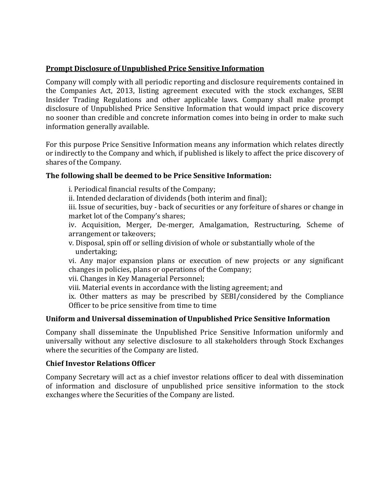## **Prompt Disclosure of Unpublished Price Sensitive Information**

Company will comply with all periodic reporting and disclosure requirements contained in the Companies Act, 2013, listing agreement executed with the stock exchanges, SEBI Insider Trading Regulations and other applicable laws. Company shall make prompt disclosure of Unpublished Price Sensitive Information that would impact price discovery no sooner than credible and concrete information comes into being in order to make such information generally available.

For this purpose Price Sensitive Information means any information which relates directly or indirectly to the Company and which, if published is likely to affect the price discovery of shares of the Company.

# **The following shall be deemed to be Price Sensitive Information:**

i. Periodical financial results of the Company;

ii. Intended declaration of dividends (both interim and final);

iii. Issue of securities, buy - back of securities or any forfeiture of shares or change in market lot of the Company's shares;

iv. Acquisition, Merger, De-merger, Amalgamation, Restructuring, Scheme of arrangement or takeovers;

v. Disposal, spin off or selling division of whole or substantially whole of the undertaking;

vi. Any major expansion plans or execution of new projects or any significant changes in policies, plans or operations of the Company;

vii. Changes in Key Managerial Personnel;

viii. Material events in accordance with the listing agreement; and

ix. Other matters as may be prescribed by SEBI/considered by the Compliance Officer to be price sensitive from time to time

## **Uniform and Universal dissemination of Unpublished Price Sensitive Information**

Company shall disseminate the Unpublished Price Sensitive Information uniformly and universally without any selective disclosure to all stakeholders through Stock Exchanges where the securities of the Company are listed.

## **Chief Investor Relations Officer**

Company Secretary will act as a chief investor relations officer to deal with dissemination of information and disclosure of unpublished price sensitive information to the stock exchanges where the Securities of the Company are listed.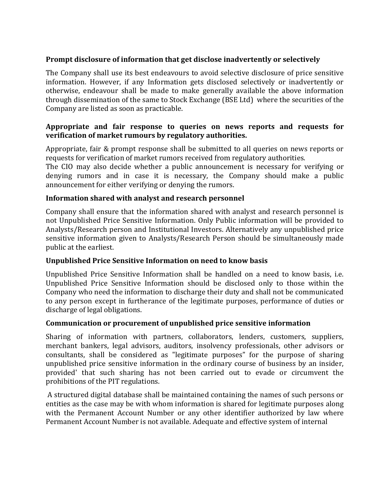# **Prompt disclosure of information that get disclose inadvertently or selectively**

The Company shall use its best endeavours to avoid selective disclosure of price sensitive information. However, if any Information gets disclosed selectively or inadvertently or otherwise, endeavour shall be made to make generally available the above information through dissemination of the same to Stock Exchange (BSE Ltd) where the securities of the Company are listed as soon as practicable.

# **Appropriate and fair response to queries on news reports and requests for verification of market rumours by regulatory authorities.**

Appropriate, fair & prompt response shall be submitted to all queries on news reports or requests for verification of market rumors received from regulatory authorities.

The CIO may also decide whether a public announcement is necessary for verifying or denying rumors and in case it is necessary, the Company should make a public announcement for either verifying or denying the rumors.

## **Information shared with analyst and research personnel**

Company shall ensure that the information shared with analyst and research personnel is not Unpublished Price Sensitive Information. Only Public information will be provided to Analysts/Research person and Institutional Investors. Alternatively any unpublished price sensitive information given to Analysts/Research Person should be simultaneously made public at the earliest.

## **Unpublished Price Sensitive Information on need to know basis**

Unpublished Price Sensitive Information shall be handled on a need to know basis, i.e. Unpublished Price Sensitive Information should be disclosed only to those within the Company who need the information to discharge their duty and shall not be communicated to any person except in furtherance of the legitimate purposes, performance of duties or discharge of legal obligations.

## **Communication or procurement of unpublished price sensitive information**

Sharing of information with partners, collaborators, lenders, customers, suppliers, merchant bankers, legal advisors, auditors, insolvency professionals, other advisors or consultants, shall be considered as "legitimate purposes" for the purpose of sharing unpublished price sensitive information in the ordinary course of business by an insider, provided' that such sharing has not been carried out to evade or circumvent the prohibitions of the PIT regulations.

A structured digital database shall be maintained containing the names of such persons or entities as the case may be with whom information is shared for legitimate purposes along with the Permanent Account Number or any other identifier authorized by law where Permanent Account Number is not available. Adequate and effective system of internal